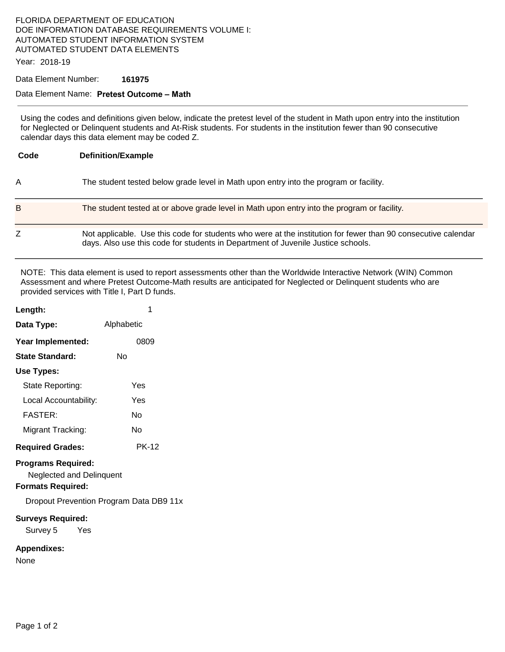## FLORIDA DEPARTMENT OF EDUCATION DOE INFORMATION DATABASE REQUIREMENTS VOLUME I: AUTOMATED STUDENT INFORMATION SYSTEM AUTOMATED STUDENT DATA ELEMENTS

Year: 2018-19

Data Element Number: **161975** 

## Data Element Name: **Pretest Outcome – Math**

Using the codes and definitions given below, indicate the pretest level of the student in Math upon entry into the institution for Neglected or Delinquent students and At-Risk students. For students in the institution fewer than 90 consecutive calendar days this data element may be coded Z.

| Code | <b>Definition/Example</b>                                                                                                                                                                         |
|------|---------------------------------------------------------------------------------------------------------------------------------------------------------------------------------------------------|
| A    | The student tested below grade level in Math upon entry into the program or facility.                                                                                                             |
| B    | The student tested at or above grade level in Math upon entry into the program or facility.                                                                                                       |
| Z    | Not applicable. Use this code for students who were at the institution for fewer than 90 consecutive calendar<br>days. Also use this code for students in Department of Juvenile Justice schools. |

NOTE: This data element is used to report assessments other than the Worldwide Interactive Network (WIN) Common Assessment and where Pretest Outcome-Math results are anticipated for Neglected or Delinquent students who are provided services with Title I, Part D funds.

| Length:                                                                                  | 1                                       |
|------------------------------------------------------------------------------------------|-----------------------------------------|
| Data Type:                                                                               | Alphabetic                              |
| Year Implemented:                                                                        | 0809                                    |
| <b>State Standard:</b>                                                                   | N٥                                      |
| Use Types:                                                                               |                                         |
| State Reporting:                                                                         | Yes                                     |
| Local Accountability:                                                                    | Yes                                     |
| FASTFR·                                                                                  | N٥                                      |
| Migrant Tracking:                                                                        | No                                      |
| <b>Required Grades:</b>                                                                  | <b>PK-12</b>                            |
| <b>Programs Required:</b><br><b>Neglected and Delinquent</b><br><b>Formats Required:</b> |                                         |
|                                                                                          | Dropout Prevention Program Data DB9 11x |
| <b>Surveys Required:</b><br>Survey 5 Yes                                                 |                                         |
| <b>Appendixes:</b>                                                                       |                                         |

None